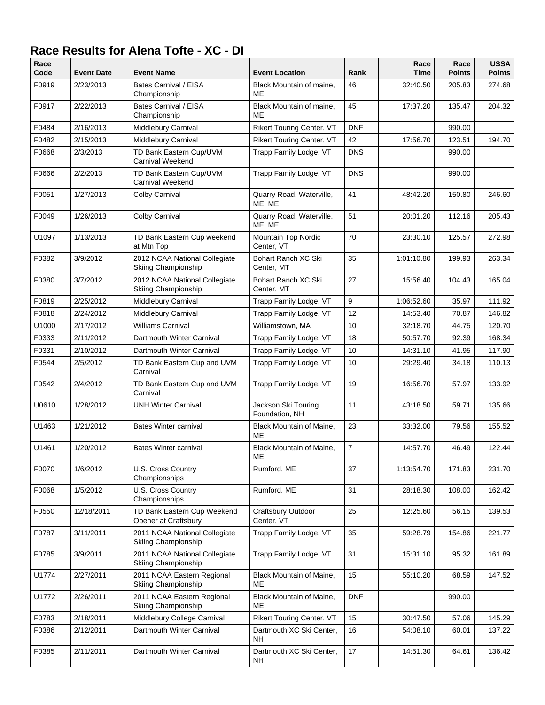## **Race Results for Alena Tofte - XC - DI**

| Race<br>Code | <b>Event Date</b> | <b>Event Name</b>                                    | <b>Event Location</b>                 | Rank           | Race<br>Time | Race<br><b>Points</b> | <b>USSA</b><br><b>Points</b> |
|--------------|-------------------|------------------------------------------------------|---------------------------------------|----------------|--------------|-----------------------|------------------------------|
| F0919        | 2/23/2013         | Bates Carnival / EISA<br>Championship                | Black Mountain of maine,<br>ME        | 46             | 32:40.50     | 205.83                | 274.68                       |
| F0917        | 2/22/2013         | Bates Carnival / EISA<br>Championship                | Black Mountain of maine,<br>ME        | 45             | 17:37.20     | 135.47                | 204.32                       |
| F0484        | 2/16/2013         | Middlebury Carnival                                  | <b>Rikert Touring Center, VT</b>      | <b>DNF</b>     |              | 990.00                |                              |
| F0482        | 2/15/2013         | Middlebury Carnival                                  | <b>Rikert Touring Center, VT</b>      | 42             | 17:56.70     | 123.51                | 194.70                       |
| F0668        | 2/3/2013          | TD Bank Eastern Cup/UVM<br><b>Carnival Weekend</b>   | Trapp Family Lodge, VT                | <b>DNS</b>     |              | 990.00                |                              |
| F0666        | 2/2/2013          | TD Bank Eastern Cup/UVM<br>Carnival Weekend          | Trapp Family Lodge, VT                | <b>DNS</b>     |              | 990.00                |                              |
| F0051        | 1/27/2013         | Colby Carnival                                       | Quarry Road, Waterville,<br>ME, ME    | 41             | 48:42.20     | 150.80                | 246.60                       |
| F0049        | 1/26/2013         | Colby Carnival                                       | Quarry Road, Waterville,<br>ME, ME    | 51             | 20:01.20     | 112.16                | 205.43                       |
| U1097        | 1/13/2013         | TD Bank Eastern Cup weekend<br>at Mtn Top            | Mountain Top Nordic<br>Center, VT     | 70             | 23:30.10     | 125.57                | 272.98                       |
| F0382        | 3/9/2012          | 2012 NCAA National Collegiate<br>Skiing Championship | Bohart Ranch XC Ski<br>Center, MT     | 35             | 1:01:10.80   | 199.93                | 263.34                       |
| F0380        | 3/7/2012          | 2012 NCAA National Collegiate<br>Skiing Championship | Bohart Ranch XC Ski<br>Center, MT     | 27             | 15:56.40     | 104.43                | 165.04                       |
| F0819        | 2/25/2012         | Middlebury Carnival                                  | Trapp Family Lodge, VT                | 9              | 1:06:52.60   | 35.97                 | 111.92                       |
| F0818        | 2/24/2012         | Middlebury Carnival                                  | Trapp Family Lodge, VT                | 12             | 14:53.40     | 70.87                 | 146.82                       |
| U1000        | 2/17/2012         | <b>Williams Carnival</b>                             | Williamstown, MA                      | 10             | 32:18.70     | 44.75                 | 120.70                       |
| F0333        | 2/11/2012         | Dartmouth Winter Carnival                            | Trapp Family Lodge, VT                | 18             | 50:57.70     | 92.39                 | 168.34                       |
| F0331        | 2/10/2012         | Dartmouth Winter Carnival                            | Trapp Family Lodge, VT                | 10             | 14:31.10     | 41.95                 | 117.90                       |
| F0544        | 2/5/2012          | TD Bank Eastern Cup and UVM<br>Carnival              | Trapp Family Lodge, VT                | 10             | 29:29.40     | 34.18                 | 110.13                       |
| F0542        | 2/4/2012          | TD Bank Eastern Cup and UVM<br>Carnival              | Trapp Family Lodge, VT                | 19             | 16:56.70     | 57.97                 | 133.92                       |
| U0610        | 1/28/2012         | <b>UNH Winter Carnival</b>                           | Jackson Ski Touring<br>Foundation, NH | 11             | 43:18.50     | 59.71                 | 135.66                       |
| U1463        | 1/21/2012         | <b>Bates Winter carnival</b>                         | Black Mountain of Maine,<br>ME        | 23             | 33:32.00     | 79.56                 | 155.52                       |
| U1461        | 1/20/2012         | <b>Bates Winter carnival</b>                         | Black Mountain of Maine,<br>ME        | $\overline{7}$ | 14:57.70     | 46.49                 | 122.44                       |
| F0070        | 1/6/2012          | U.S. Cross Country<br>Championships                  | Rumford, ME                           | 37             | 1:13:54.70   | 171.83                | 231.70                       |
| F0068        | 1/5/2012          | U.S. Cross Country<br>Championships                  | Rumford, ME                           | 31             | 28:18.30     | 108.00                | 162.42                       |
| F0550        | 12/18/2011        | TD Bank Eastern Cup Weekend<br>Opener at Craftsbury  | Craftsbury Outdoor<br>Center, VT      | 25             | 12:25.60     | 56.15                 | 139.53                       |
| F0787        | 3/11/2011         | 2011 NCAA National Collegiate<br>Skiing Championship | Trapp Family Lodge, VT                | 35             | 59:28.79     | 154.86                | 221.77                       |
| F0785        | 3/9/2011          | 2011 NCAA National Collegiate<br>Skiing Championship | Trapp Family Lodge, VT                | 31             | 15:31.10     | 95.32                 | 161.89                       |
| U1774        | 2/27/2011         | 2011 NCAA Eastern Regional<br>Skiing Championship    | Black Mountain of Maine,<br>ME        | 15             | 55:10.20     | 68.59                 | 147.52                       |
| U1772        | 2/26/2011         | 2011 NCAA Eastern Regional<br>Skiing Championship    | Black Mountain of Maine,<br>МE        | <b>DNF</b>     |              | 990.00                |                              |
| F0783        | 2/18/2011         | Middlebury College Carnival                          | <b>Rikert Touring Center, VT</b>      | 15             | 30:47.50     | 57.06                 | 145.29                       |
| F0386        | 2/12/2011         | Dartmouth Winter Carnival                            | Dartmouth XC Ski Center,<br><b>NH</b> | 16             | 54:08.10     | 60.01                 | 137.22                       |
| F0385        | 2/11/2011         | Dartmouth Winter Carnival                            | Dartmouth XC Ski Center,<br><b>NH</b> | 17             | 14:51.30     | 64.61                 | 136.42                       |